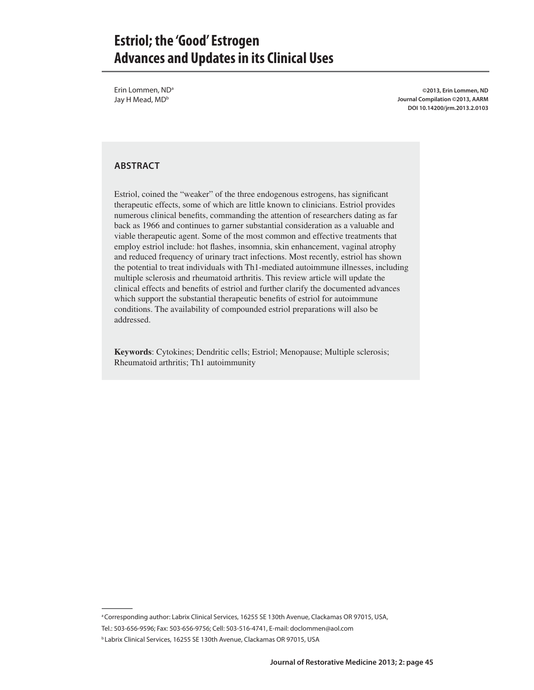Erin Lommen, ND<sup>a</sup> Jay H Mead, MD<sup>b</sup>

**©2013, Erin Lommen, ND Journal Compilation ©2013, AARM DOI 10.14200/jrm.2013.2.0103**

#### **ABSTRACT**

Estriol, coined the "weaker" of the three endogenous estrogens, has significant therapeutic effects, some of which are little known to clinicians. Estriol provides numerous clinical benefits, commanding the attention of researchers dating as far back as 1966 and continues to garner substantial consideration as a valuable and viable therapeutic agent. Some of the most common and effective treatments that employ estriol include: hot flashes, insomnia, skin enhancement, vaginal atrophy and reduced frequency of urinary tract infections. Most recently, estriol has shown the potential to treat individuals with Th1-mediated autoimmune illnesses, including multiple sclerosis and rheumatoid arthritis. This review article will update the clinical effects and benefits of estriol and further clarify the documented advances which support the substantial therapeutic benefits of estriol for autoimmune conditions. The availability of compounded estriol preparations will also be addressed.

**Keywords**: Cytokines; Dendritic cells; Estriol; Menopause; Multiple sclerosis; Rheumatoid arthritis; Th1 autoimmunity

a Corresponding author: Labrix Clinical Services, 16255 SE 130th Avenue, Clackamas OR 97015, USA,

Tel.: 503-656-9596; Fax: 503-656-9756; Cell: 503-516-4741, E-mail: doclommen@aol.com

b Labrix Clinical Services, 16255 SE 130th Avenue, Clackamas OR 97015, USA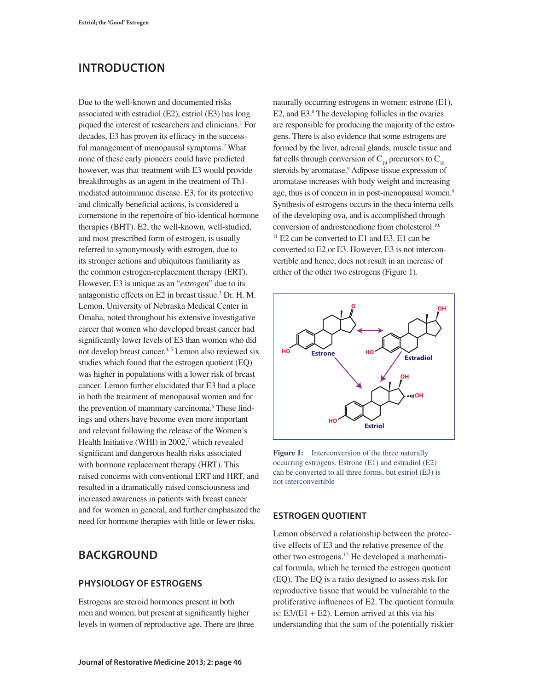# **INTRODUCTION**

Due to the well-known and documented risks associated with estradiol (E2), estriol (E3) has long piqued the interest of researchers and clinicians.<sup>1</sup> For decades, E3 has proven its efficacy in the successful management of menopausal symptoms.<sup>2</sup> What none of these early pioneers could have predicted however, was that treatment with E3 would provide breakthroughs as an agent in the treatment of Th1 mediated autoimmune disease. E3, for its protective and clinically beneficial actions, is considered a cornerstone in the repertoire of bio-identical hormone therapies (BHT). E2, the well-known, well-studied, and most prescribed form of estrogen, is usually referred to synonymously with estrogen, due to its stronger actions and ubiquitous familiarity as the common estrogen-replacement therapy (ERT). However, E3 is unique as an "*estrogen*" due to its antagonistic effects on E2 in breast tissue.3 Dr. H. M. Lemon, University of Nebraska Medical Center in Omaha, noted throughout his extensive investigative career that women who developed breast cancer had significantly lower levels of E3 than women who did not develop breast cancer.<sup>4, 5</sup> Lemon also reviewed six studies which found that the estrogen quotient (EQ) was higher in populations with a lower risk of breast cancer. Lemon further elucidated that E3 had a place in both the treatment of menopausal women and for the prevention of mammary carcinoma.<sup>6</sup> These findings and others have become even more important and relevant following the release of the Women's Health Initiative (WHI) in  $2002$ ,<sup>7</sup> which revealed significant and dangerous health risks associated with hormone replacement therapy (HRT). This raised concerns with conventional ERT and HRT, and resulted in a dramatically raised consciousness and increased awareness in patients with breast cancer and for women in general, and further emphasized the need for hormone therapies with little or fewer risks.

## **BACKGROUND**

#### **PHYSIOLOGY OF ESTROGENS**

Estrogens are steroid hormones present in both men and women, but present at significantly higher levels in women of reproductive age. There are three naturally occurring estrogens in women: estrone (E1), E2, and E3.<sup>8</sup> The developing follicles in the ovaries are responsible for producing the majority of the estrogens. There is also evidence that some estrogens are formed by the liver, adrenal glands, muscle tissue and fat cells through conversion of  $C_{19}$  precursors to  $C_{18}$ steroids by aromatase.<sup>9</sup> Adipose tissue expression of aromatase increases with body weight and increasing age, thus is of concern in in post-menopausal women.<sup>9</sup> Synthesis of estrogens occurs in the theca interna cells of the developing ova, and is accomplished through conversion of androstenedione from cholesterol.<sup>10,</sup>  $11$  E2 can be converted to E1 and E3. E1 can be converted to E2 or E3. However, E3 is not interconvertible and hence, does not result in an increase of either of the other two estrogens (Figure 1).



**Figure 1:** Interconversion of the three naturally occurring estrogens. Estrone (E1) and estradiol (E2) can be converted to all three forms, but estriol (E3) is not interconvertible

#### **ESTROGEN QUOTIENT**

Lemon observed a relationship between the protective effects of E3 and the relative presence of the other two estrogens.12 He developed a mathematical formula, which he termed the estrogen quotient (EQ). The EQ is a ratio designed to assess risk for reproductive tissue that would be vulnerable to the proliferative influences of E2. The quotient formula is:  $E3/(E1 + E2)$ . Lemon arrived at this via his understanding that the sum of the potentially riskier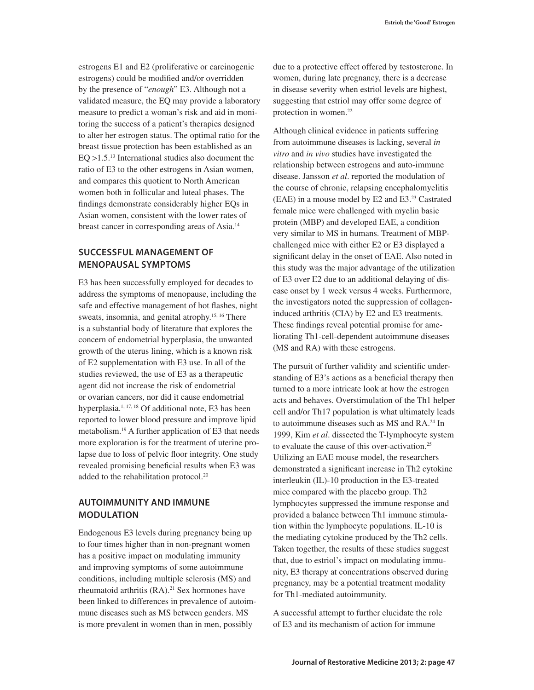estrogens E1 and E2 (proliferative or carcinogenic estrogens) could be modified and/or overridden by the presence of "*enough*" E3. Although not a validated measure, the EQ may provide a laboratory measure to predict a woman's risk and aid in monitoring the success of a patient's therapies designed to alter her estrogen status. The optimal ratio for the breast tissue protection has been established as an  $EQ > 1.5<sup>13</sup>$  International studies also document the ratio of E3 to the other estrogens in Asian women, and compares this quotient to North American women both in follicular and luteal phases. The findings demonstrate considerably higher EQs in Asian women, consistent with the lower rates of breast cancer in corresponding areas of Asia.14

## **SUCCESSFUL MANAGEMENT OF MENOPAUSAL SYMPTOMS**

E3 has been successfully employed for decades to address the symptoms of menopause, including the safe and effective management of hot flashes, night sweats, insomnia, and genital atrophy.<sup>15, 16</sup> There is a substantial body of literature that explores the concern of endometrial hyperplasia, the unwanted growth of the uterus lining, which is a known risk of E2 supplementation with E3 use. In all of the studies reviewed, the use of E3 as a therapeutic agent did not increase the risk of endometrial or ovarian cancers, nor did it cause endometrial hyperplasia. $1, 17, 18$  Of additional note, E3 has been reported to lower blood pressure and improve lipid metabolism.19 A further application of E3 that needs more exploration is for the treatment of uterine prolapse due to loss of pelvic floor integrity. One study revealed promising beneficial results when E3 was added to the rehabilitation protocol.20

### **AUTOIMMUNITY AND IMMUNE MODULATION**

Endogenous E3 levels during pregnancy being up to four times higher than in non-pregnant women has a positive impact on modulating immunity and improving symptoms of some autoimmune conditions, including multiple sclerosis (MS) and rheumatoid arthritis (RA).<sup>21</sup> Sex hormones have been linked to differences in prevalence of autoimmune diseases such as MS between genders. MS is more prevalent in women than in men, possibly

due to a protective effect offered by testosterone. In women, during late pregnancy, there is a decrease in disease severity when estriol levels are highest, suggesting that estriol may offer some degree of protection in women.<sup>22</sup>

Although clinical evidence in patients suffering from autoimmune diseases is lacking, several *in vitro* and *in vivo* studies have investigated the relationship between estrogens and auto-immune disease. Jansson *et al*. reported the modulation of the course of chronic, relapsing encephalomyelitis (EAE) in a mouse model by E2 and E3.23 Castrated female mice were challenged with myelin basic protein (MBP) and developed EAE, a condition very similar to MS in humans. Treatment of MBPchallenged mice with either E2 or E3 displayed a significant delay in the onset of EAE. Also noted in this study was the major advantage of the utilization of E3 over E2 due to an additional delaying of disease onset by 1 week versus 4 weeks. Furthermore, the investigators noted the suppression of collageninduced arthritis (CIA) by E2 and E3 treatments. These findings reveal potential promise for ameliorating Th1-cell-dependent autoimmune diseases (MS and RA) with these estrogens.

The pursuit of further validity and scientific understanding of E3's actions as a beneficial therapy then turned to a more intricate look at how the estrogen acts and behaves. Overstimulation of the Th1 helper cell and/or Th17 population is what ultimately leads to autoimmune diseases such as MS and RA.24 In 1999, Kim *et al*. dissected the T-lymphocyte system to evaluate the cause of this over-activation.25 Utilizing an EAE mouse model, the researchers demonstrated a significant increase in Th2 cytokine interleukin (IL)-10 production in the E3-treated mice compared with the placebo group. Th2 lymphocytes suppressed the immune response and provided a balance between Th1 immune stimulation within the lymphocyte populations. IL-10 is the mediating cytokine produced by the Th2 cells. Taken together, the results of these studies suggest that, due to estriol's impact on modulating immunity, E3 therapy at concentrations observed during pregnancy, may be a potential treatment modality for Th1-mediated autoimmunity.

A successful attempt to further elucidate the role of E3 and its mechanism of action for immune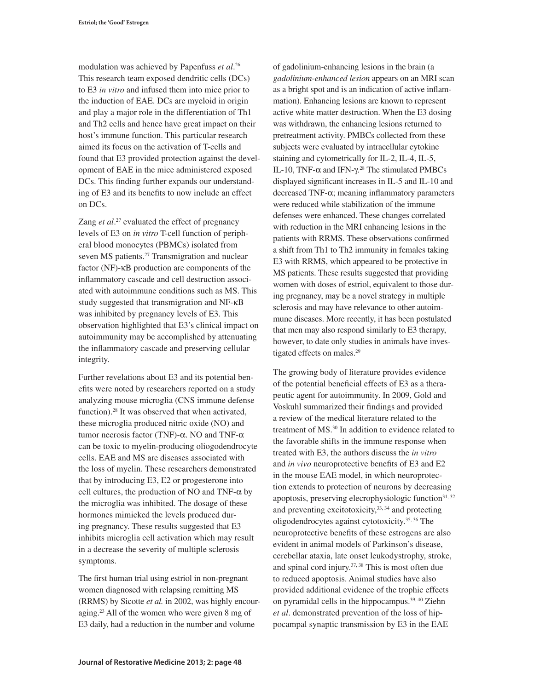modulation was achieved by Papenfuss *et al*. 26 This research team exposed dendritic cells (DCs) to E3 *in vitro* and infused them into mice prior to the induction of EAE. DCs are myeloid in origin and play a major role in the differentiation of Th1 and Th2 cells and hence have great impact on their host's immune function. This particular research aimed its focus on the activation of T-cells and found that E3 provided protection against the development of EAE in the mice administered exposed DCs. This finding further expands our understanding of E3 and its benefits to now include an effect on DCs.

Zang *et al.*<sup>27</sup> evaluated the effect of pregnancy levels of E3 on *in vitro* T-cell function of peripheral blood monocytes (PBMCs) isolated from seven MS patients.<sup>27</sup> Transmigration and nuclear factor (NF)-κB production are components of the inflammatory cascade and cell destruction associated with autoimmune conditions such as MS. This study suggested that transmigration and NF-κB was inhibited by pregnancy levels of E3. This observation highlighted that E3's clinical impact on autoimmunity may be accomplished by attenuating the inflammatory cascade and preserving cellular integrity.

Further revelations about E3 and its potential benefits were noted by researchers reported on a study analyzing mouse microglia (CNS immune defense function).28 It was observed that when activated, these microglia produced nitric oxide (NO) and tumor necrosis factor (TNF)- $\alpha$ . NO and TNF- $\alpha$ can be toxic to myelin-producing oliogodendrocyte cells. EAE and MS are diseases associated with the loss of myelin. These researchers demonstrated that by introducing E3, E2 or progesterone into cell cultures, the production of NO and TNF- $\alpha$  by the microglia was inhibited. The dosage of these hormones mimicked the levels produced during pregnancy. These results suggested that E3 inhibits microglia cell activation which may result in a decrease the severity of multiple sclerosis symptoms.

The first human trial using estriol in non-pregnant women diagnosed with relapsing remitting MS (RRMS) by Sicotte *et al.* in 2002, was highly encouraging.23 All of the women who were given 8 mg of E3 daily, had a reduction in the number and volume

of gadolinium-enhancing lesions in the brain (a *gadolinium*-*enhanced lesion* appears on an MRI scan as a bright spot and is an indication of active inflammation). Enhancing lesions are known to represent active white matter destruction. When the E3 dosing was withdrawn, the enhancing lesions returned to pretreatment activity. PMBCs collected from these subjects were evaluated by intracellular cytokine staining and cytometrically for IL-2, IL-4, IL-5, IL-10, TNF-α and IFN-γ. 28 The stimulated PMBCs displayed significant increases in IL-5 and IL-10 and decreased TNF-α; meaning inflammatory parameters were reduced while stabilization of the immune defenses were enhanced. These changes correlated with reduction in the MRI enhancing lesions in the patients with RRMS. These observations confirmed a shift from Th1 to Th2 immunity in females taking E3 with RRMS, which appeared to be protective in MS patients. These results suggested that providing women with doses of estriol, equivalent to those during pregnancy, may be a novel strategy in multiple sclerosis and may have relevance to other autoimmune diseases. More recently, it has been postulated that men may also respond similarly to E3 therapy, however, to date only studies in animals have investigated effects on males.<sup>29</sup>

The growing body of literature provides evidence of the potential beneficial effects of E3 as a therapeutic agent for autoimmunity. In 2009, Gold and Voskuhl summarized their findings and provided a review of the medical literature related to the treatment of MS.<sup>30</sup> In addition to evidence related to the favorable shifts in the immune response when treated with E3, the authors discuss the *in vitro*  and *in vivo* neuroprotective benefits of E3 and E2 in the mouse EAE model, in which neuroprotection extends to protection of neurons by decreasing apoptosis, preserving elecrophysiologic function<sup>31, 32</sup> and preventing excitotoxicity, $33, 34$  and protecting oligodendrocytes against cytotoxicity.35, 36 The neuroprotective benefits of these estrogens are also evident in animal models of Parkinson's disease, cerebellar ataxia, late onset leukodystrophy, stroke, and spinal cord injury.37, 38 This is most often due to reduced apoptosis. Animal studies have also provided additional evidence of the trophic effects on pyramidal cells in the hippocampus.<sup>39, 40</sup> Ziehn *et al*. demonstrated prevention of the loss of hippocampal synaptic transmission by E3 in the EAE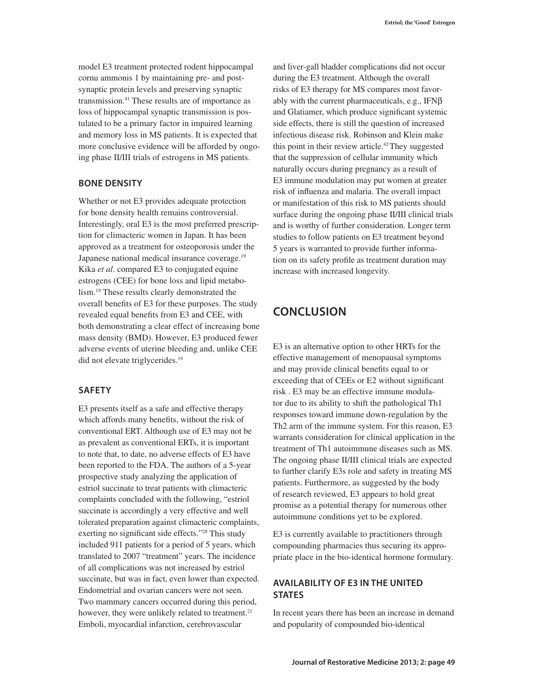model E3 treatment protected rodent hippocampal cornu ammonis 1 by maintaining pre- and postsynaptic protein levels and preserving synaptic transmission.<sup>41</sup> These results are of importance as loss of hippocampal synaptic transmission is postulated to be a primary factor in impaired learning and memory loss in MS patients. It is expected that more conclusive evidence will be afforded by ongoing phase II/III trials of estrogens in MS patients.

#### **BONE DENSITY**

Whether or not E3 provides adequate protection for bone density health remains controversial. Interestingly, oral E3 is the most preferred prescription for climacteric women in Japan. It has been approved as a treatment for osteoporosis under the Japanese national medical insurance coverage.<sup>19</sup> Kika *et al*. compared E3 to conjugated equine estrogens (CEE) for bone loss and lipid metabolism.19 These results clearly demonstrated the overall benefits of E3 for these purposes. The study revealed equal benefits from E3 and CEE, with both demonstrating a clear effect of increasing bone mass density (BMD). However, E3 produced fewer adverse events of uterine bleeding and, unlike CEE did not elevate triglycerides.<sup>19</sup>

#### **SAFETY**

E3 presents itself as a safe and effective therapy which affords many benefits, without the risk of conventional ERT. Although use of E3 may not be as prevalent as conventional ERTs, it is important to note that, to date, no adverse effects of E3 have been reported to the FDA. The authors of a 5-year prospective study analyzing the application of estriol succinate to treat patients with climacteric complaints concluded with the following, "estriol succinate is accordingly a very effective and well tolerated preparation against climacteric complaints, exerting no significant side effects."28 This study included 911 patients for a period of 5 years, which translated to 2007 "treatment" years. The incidence of all complications was not increased by estriol succinate, but was in fact, even lower than expected. Endometrial and ovarian cancers were not seen. Two mammary cancers occurred during this period, however, they were unlikely related to treatment.<sup>21</sup> Emboli, myocardial infarction, cerebrovascular

and liver-gall bladder complications did not occur during the E3 treatment. Although the overall risks of E3 therapy for MS compares most favorably with the current pharmaceuticals, e.g., IFNβ and Glatiamer, which produce significant systemic side effects, there is still the question of increased infectious disease risk. Robinson and Klein make this point in their review article.<sup>42</sup> They suggested that the suppression of cellular immunity which naturally occurs during pregnancy as a result of E3 immune modulation may put women at greater risk of influenza and malaria. The overall impact or manifestation of this risk to MS patients should surface during the ongoing phase II/III clinical trials and is worthy of further consideration. Longer term studies to follow patients on E3 treatment beyond 5 years is warranted to provide further information on its safety profile as treatment duration may increase with increased longevity.

# **CONCLUSION**

E3 is an alternative option to other HRTs for the effective management of menopausal symptoms and may provide clinical benefits equal to or exceeding that of CEEs or E2 without significant risk . E3 may be an effective immune modulator due to its ability to shift the pathological Th1 responses toward immune down-regulation by the Th2 arm of the immune system. For this reason, E3 warrants consideration for clinical application in the treatment of Th1 autoimmune diseases such as MS. The ongoing phase II/III clinical trials are expected to further clarify E3s role and safety in treating MS patients. Furthermore, as suggested by the body of research reviewed, E3 appears to hold great promise as a potential therapy for numerous other autoimmune conditions yet to be explored.

E3 is currently available to practitioners through compounding pharmacies thus securing its appropriate place in the bio-identical hormone formulary.

### **AVAILABILITY OF E3 IN THE UNITED STATES**

In recent years there has been an increase in demand and popularity of compounded bio-identical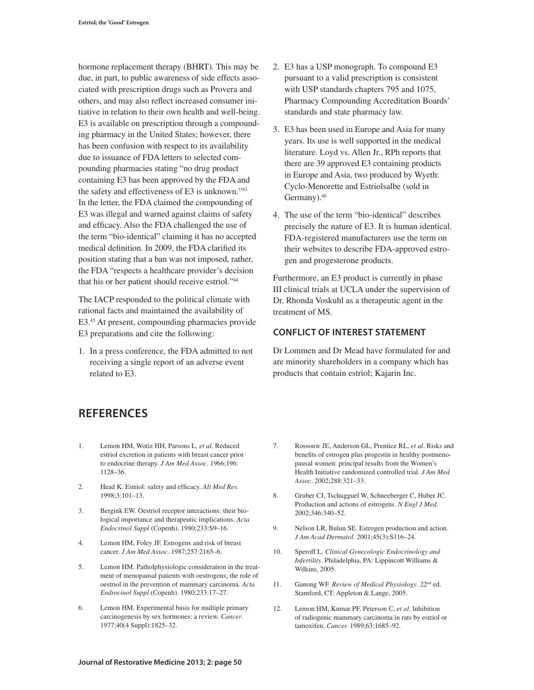hormone replacement therapy (BHRT). This may be due, in part, to public awareness of side effects associated with prescription drugs such as Provera and others, and may also reflect increased consumer initiative in relation to their own health and well-being. E3 is available on prescription through a compounding pharmacy in the United States; however, there has been confusion with respect to its availability due to issuance of FDA letters to selected compounding pharmacies stating "no drug product containing E3 has been approved by the FDA and the safety and effectiveness of E3 is unknown."43 In the letter, the FDA claimed the compounding of E3 was illegal and warned against claims of safety and efficacy. Also the FDA challenged the use of the term "bio-identical" claiming it has no accepted medical definition. In 2009, the FDA clarified its position stating that a ban was not imposed, rather, the FDA "respects a healthcare provider's decision that his or her patient should receive estriol."44

The IACP responded to the political climate with rational facts and maintained the availability of E3.45 At present, compounding pharmacies provide E3 preparations and cite the following:

1. In a press conference, the FDA admitted to not receiving a single report of an adverse event related to E3.

- 2. E3 has a USP monograph. To compound E3 pursuant to a valid prescription is consistent with USP standards chapters 795 and 1075, Pharmacy Compounding Accreditation Boards' standards and state pharmacy law.
- 3. E3 has been used in Europe and Asia for many years. Its use is well supported in the medical literature. Loyd vs. Allen Jr., RPh reports that there are 39 approved E3 containing products in Europe and Asia, two produced by Wyeth: Cyclo-Menorette and Estriolsalbe (sold in Germany).46
- 4. The use of the term "bio-identical" describes precisely the nature of E3. It is human identical. FDA-registered manufacturers use the term on their websites to describe FDA-approved estrogen and progesterone products.

Furthermore, an E3 product is currently in phase III clinical trials at UCLA under the supervision of Dr. Rhonda Voskuhl as a therapeutic agent in the treatment of MS.

### **CONFLICT OF INTEREST STATEMENT**

Dr Lommen and Dr Mead have formulated for and are minority shareholders in a company which has products that contain estriol; Kajarin Inc.

## **REFERENCES**

- 1. Lemon HM, Wotiz HH, Parsons L*, et al*. Reduced estriol excretion in patients with breast cancer prior to endocrine therapy. *J Am Med Assoc*. 1966;196: 1128–36.
- 2. Head K. Estriol: safety and efficacy. *Alt Med Rev.* 1998;3:101–13.
- 3. Bergink EW. Oestriol receptor interactions: their biological importance and therapeutic implications. *Acta Endocrinol Suppl* (Copenh). 1980;233:S9–16.
- 4. Lemon HM, Foley JF. Estrogens and risk of breast cancer. *J Am Med Assoc*. 1987;257:2165–6.
- 5. Lemon HM. Patholphysiologic consideration in the treatment of menopausal patients with oestrogens; the role of oestriol in the prevention of mammary carcinoma. *Acta Endrocinol Suppl* (Copenh). 1980;233:17–27.
- 6. Lemon HM. Experimental basis for multiple primary carcinogenesis by sex hormones: a review. *Cancer*. 1977;40(4 Suppl):1825–32.
- 7. Rossouw JE, Anderson GL, Prentice RL, *et al*. Risks and benefits of estrogen plus progestin in healthy postmenopausal women: principal results from the Women's Health Initiative randomized controlled trial. *J Am Med Assoc*. 2002;288:321–33.
- 8. Gruber CJ, Tschugguel W, Schneeberger C, Huber JC. Production and actions of estrogens. *N Engl J Med*. 2002;346:340–52.
- 9. Nelson LR, Bulun SE. Estrogen production and action. *J Am Acad Dermatol*. 2001;45(3):S116–24.
- 10. Speroff L. *Clinical Gynecologic Endocrinology and Infertility*. Philadelphia, PA: Lippincott Williams & Wilkins, 2005.
- 11. Ganong WF. *Review of Medical Physiology*. 22nd ed. Stamford, CT: Appleton & Lange, 2005.
- 12. Lemon HM, Kumar PF, Peterson C, *et al*. Inhibition of radiogenic mammary carcinoma in rats by estriol or tamoxifen. *Cancer.* 1989;63:1685–92.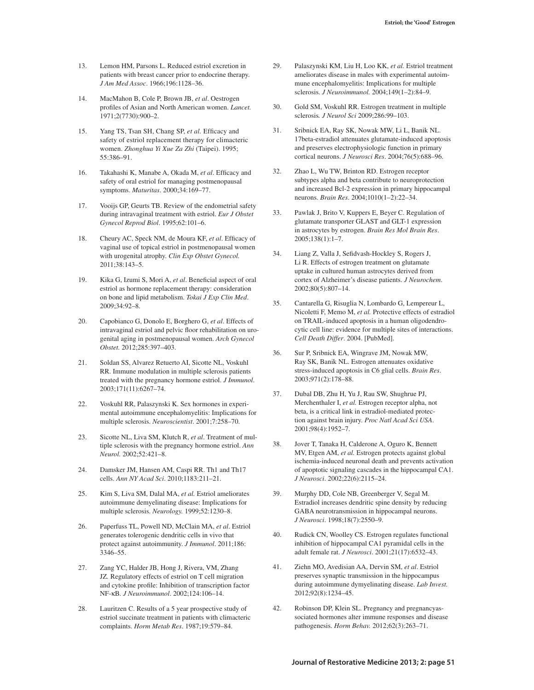- 13. Lemon HM, Parsons L. Reduced estriol excretion in patients with breast cancer prior to endocrine therapy. *J Am Med Assoc*. 1966;196:1128–36.
- 14. MacMahon B, Cole P, Brown JB, *et al*. Oestrogen profiles of Asian and North American women. *Lancet.* 1971;2(7730):900–2.
- 15. Yang TS, Tsan SH, Chang SP, *et al.* Efficacy and safety of estriol replacement therapy for climacteric women. *Zhonghua Yi Xue Za Zhi* (Taipei). 1995; 55:386–91.
- 16. Takahashi K, Manabe A, Okada M, *et al*. Efficacy and safety of oral estriol for managing postmenopausal symptoms. *Maturitas*. 2000;34:169–77.
- 17. Vooijs GP, Geurts TB. Review of the endometrial safety during intravaginal treatment with estriol. *Eur J Obstet Gynecol Reprod Biol*. 1995;62:101–6.
- 18. Cheury AC, Speck NM, de Moura KF, *et al*. Efficacy of vaginal use of topical estriol in postmenopausal women with urogenital atrophy. *Clin Exp Obstet Gynecol.* 2011;38:143–5.
- 19. Kika G, Izumi S, Mori A, *et al*. Beneficial aspect of oral estriol as hormone replacement therapy: consideration on bone and lipid metabolism. *Tokai J Exp Clin Med*. 2009;34:92–8.
- 20. Capobianco G, Donolo E, Borghero G, *et al*. Effects of intravaginal estriol and pelvic floor rehabilitation on urogenital aging in postmenopausal women. *Arch Gynecol Obstet.* 2012;285:397–403.
- 21. Soldan SS, Alvarez Retuerto AI, Sicotte NL, Voskuhl RR. Immune modulation in multiple sclerosis patients treated with the pregnancy hormone estriol. *J Immunol*. 2003;171(11):6267–74.
- 22. Voskuhl RR, Palaszynski K. Sex hormones in experimental autoimmune encephalomyelitis: Implications for multiple sclerosis. *Neuroscientist*. 2001;7:258–70.
- 23. Sicotte NL, Liva SM, Klutch R, *et al*. Treatment of multiple sclerosis with the pregnancy hormone estriol. *Ann Neurol.* 2002;52:421–8.
- 24. Damsker JM, Hansen AM, Caspi RR. Th1 and Th17 cells. *Ann NY Acad Sci*. 2010;1183:211–21.
- 25. Kim S, Liva SM, Dalal MA, *et al.* Estriol ameliorates autoimmune demyelinating disease: Implications for multiple sclerosis. *Neurology.* 1999;52:1230–8.
- 26. Paperfuss TL, Powell ND, McClain MA, *et al*. Estriol generates tolerogenic dendritic cells in vivo that protect against autoimmunity. *J Immunol*. 2011;186: 3346–55.
- 27. Zang YC, Halder JB, Hong J, Rivera, VM, Zhang JZ*.* Regulatory effects of estriol on T cell migration and cytokine profile: Inhibition of transcription factor NF-κB*. J Neuroimmunol*. 2002;124:106–14.
- 28. Lauritzen C. Results of a 5 year prospective study of estriol succinate treatment in patients with climacteric complaints. *Horm Metab Res*. 1987;19:579–84.
- 29. Palaszynski KM, Liu H, Loo KK, *et al.* Estriol treatment ameliorates disease in males with experimental autoimmune encephalomyelitis: Implications for multiple sclerosis. *J Neuroimmunol.* 2004;149(1–2):84–9.
- 30. Gold SM, Voskuhl RR. Estrogen treatment in multiple sclerosis*. J Neurol Sci* 2009;286:99–103.
- 31. Sribnick EA, Ray SK, Nowak MW, Li L, Banik NL. 17beta-estradiol attenuates glutamate-induced apoptosis and preserves electrophysiologic function in primary cortical neurons. *J Neurosci Res*. 2004;76(5):688–96.
- 32. Zhao L, Wu TW, Brinton RD. Estrogen receptor subtypes alpha and beta contribute to neuroprotection and increased Bcl-2 expression in primary hippocampal neurons. *Brain Res*. 2004;1010(1–2):22–34.
- 33. Pawlak J, Brito V, Kuppers E, Beyer C. Regulation of glutamate transporter GLAST and GLT-1 expression in astrocytes by estrogen. *Brain Res Mol Brain Res*. 2005;138(1):1–7.
- 34. Liang Z, Valla J, Sefidvash-Hockley S, Rogers J, Li R. Effects of estrogen treatment on glutamate uptake in cultured human astrocytes derived from cortex of Alzheimer's disease patients. *J Neurochem*. 2002;80(5):807–14.
- 35. Cantarella G, Risuglia N, Lombardo G, Lempereur L, Nicoletti F, Memo M, *et al.* Protective effects of estradiol on TRAIL-induced apoptosis in a human oligodendrocytic cell line: evidence for multiple sites of interactions. *Cell Death Differ*. 2004. [PubMed].
- 36. Sur P, Sribnick EA, Wingrave JM, Nowak MW, Ray SK, Banik NL. Estrogen attenuates oxidative stress-induced apoptosis in C6 glial cells. *Brain Res*. 2003;971(2):178–88.
- 37. Dubal DB, Zhu H, Yu J, Rau SW, Shughrue PJ, Merchenthaler I, *et al.* Estrogen receptor alpha, not beta, is a critical link in estradiol-mediated protection against brain injury. *Proc Natl Acad Sci USA*. 2001;98(4):1952–7.
- 38. Jover T, Tanaka H, Calderone A, Oguro K, Bennett MV, Etgen AM, *et al.* Estrogen protects against global ischemia-induced neuronal death and prevents activation of apoptotic signaling cascades in the hippocampal CA1. *J Neurosci*. 2002;22(6):2115–24.
- 39. Murphy DD, Cole NB, Greenberger V, Segal M. Estradiol increases dendritic spine density by reducing GABA neurotransmission in hippocampal neurons. *J Neurosci*. 1998;18(7):2550–9.
- 40. Rudick CN, Woolley CS. Estrogen regulates functional inhibition of hippocampal CA1 pyramidal cells in the adult female rat. *J Neurosci*. 2001;21(17):6532–43.
- 41. Ziehn MO, Avedisian AA, Dervin SM, *et al*. Estriol preserves synaptic transmission in the hippocampus during autoimmune dymyelinating disease. *Lab Invest.*  2012;92(8):1234–45.
- 42. Robinson DP, Klein SL. Pregnancy and pregnancyassociated hormones alter immune responses and disease pathogenesis. *Horm Behav.* 2012;62(3):263–71.